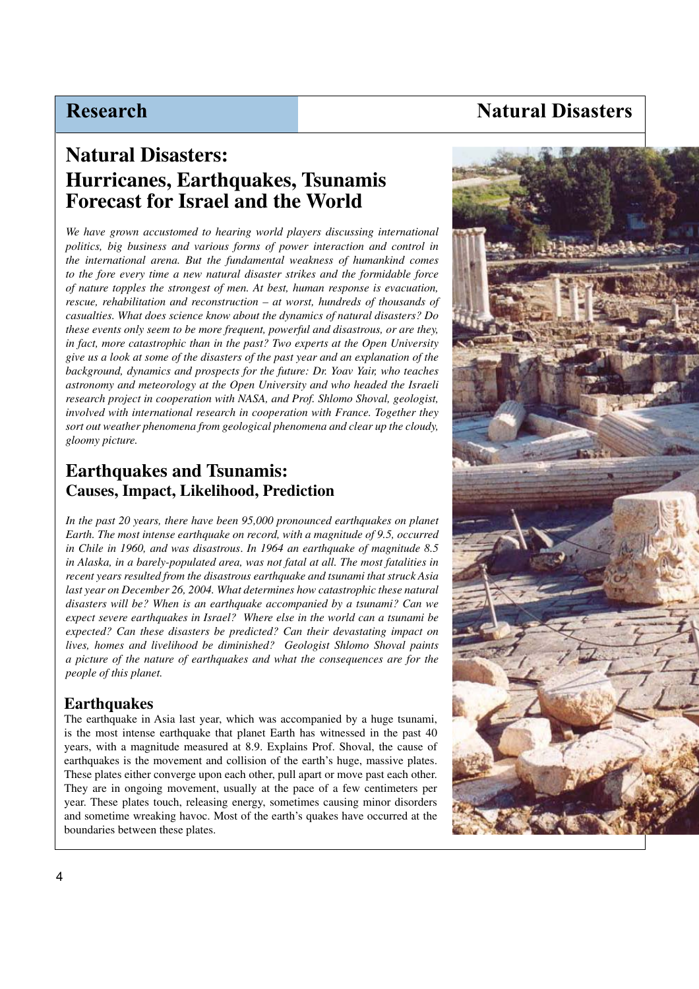# **Natural Disasters**

# **Natural Disasters: Hurricanes, Earthquakes, Tsunamis Forecast for Israel and the World**

*We have grown accustomed to hearing world players discussing international politics, big business and various forms of power interaction and control in the international arena. But the fundamental weakness of humankind comes to the fore every time a new natural disaster strikes and the formidable force of nature topples the strongest of men. At best, human response is evacuation, rescue, rehabilitation and reconstruction – at worst, hundreds of thousands of casualties. What does science know about the dynamics of natural disasters? Do these events only seem to be more frequent, powerful and disastrous, or are they, in fact, more catastrophic than in the past? Two experts at the Open University give us a look at some of the disasters of the past year and an explanation of the background, dynamics and prospects for the future: Dr. Yoav Yair, who teaches astronomy and meteorology at the Open University and who headed the Israeli research project in cooperation with NASA, and Prof. Shlomo Shoval, geologist, involved with international research in cooperation with France. Together they sort out weather phenomena from geological phenomena and clear up the cloudy, gloomy picture.* 

## **Earthquakes and Tsunamis: Causes, Impact, Likelihood, Prediction**

*In the past 20 years, there have been 95,000 pronounced earthquakes on planet Earth. The most intense earthquake on record, with a magnitude of 9.5, occurred in Chile in 1960, and was disastrous*. *In 1964 an earthquake of magnitude 8.5 in Alaska, in a barely-populated area, was not fatal at all. The most fatalities in recent years resulted from the disastrous earthquake and tsunami that struck Asia last year on December 26, 2004. What determines how catastrophic these natural disasters will be? When is an earthquake accompanied by a tsunami? Can we expect severe earthquakes in Israel? Where else in the world can a tsunami be expected? Can these disasters be predicted? Can their devastating impact on lives, homes and livelihood be diminished? Geologist Shlomo Shoval paints a picture of the nature of earthquakes and what the consequences are for the people of this planet.*

#### **Earthquakes**

The earthquake in Asia last year, which was accompanied by a huge tsunami, is the most intense earthquake that planet Earth has witnessed in the past 40 years, with a magnitude measured at 8.9. Explains Prof. Shoval, the cause of earthquakes is the movement and collision of the earth's huge, massive plates. These plates either converge upon each other, pull apart or move past each other. They are in ongoing movement, usually at the pace of a few centimeters per year. These plates touch, releasing energy, sometimes causing minor disorders and sometime wreaking havoc. Most of the earth's quakes have occurred at the boundaries between these plates.

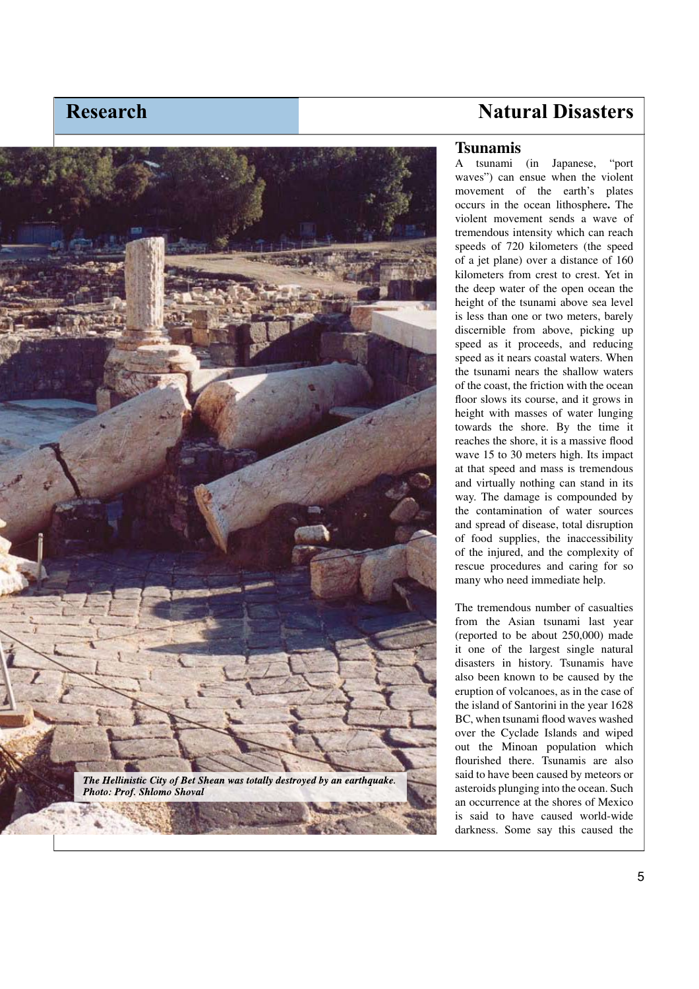

# **Natural D isasters**

#### **Tsuna m i s**

A tsunami ( in Japanese, "port waves") can ensue when the violent movemen t of the earth's plates occurs in the ocean li t hosp here **.** T he violent movement sends a wave of tremendo us intensit y which can reach spee ds o f 720 kilometers (t he spee d of a jet pl ane) over a distance of 1 60 kilometers from crest to crest . Yet in the deep water o f t he open ocean t h e height of the tsunami above sea level is less tha n one or two meters, barel y discernible from above, picking up speed as it proceeds, and reducing s peed as i t nears coastal waters. When the tsunami nears t he s h allow waters of the coast, the friction with the ocean floor slows its course, and it grows in height with masses of water lunging towar ds t he s hore. By t he t ime it reaches th e shore, it is a massive flood wave 15 to 30 meters high. Its impact at t hat sp eed an d mass is tremen dous and virtua l l y nothin g can stand in its way. T he damage is compoun d e d by the contaminat ion o f water sources and s prea d of disease, total disru ption of foo d s upplies, t he inaccessibility of t he i njure d, an d t he comp lex ity o f rescue pr ocedures and carin g for so many w ho nee d immediate h e lp.

The tremendous number of casualties from t he As ian tsunam i last yea r (reported to be about 250,000) made it one of the lar gest sin gle natural disasters in history. Tsunam is have also been known to be cause d by t he eru ption o f volcanoes, as in the case o f the island of Santorini in the year 1628 BC, when tsunami flood waves washed over the Cyclade Islands and wiped out the Minoan population which flourished there. Tsunamis are also said to ha ve been caused b y meteors o r asteroids plung ing into t he ocean. Suc h an occurr ence at t he s hores o f Mex ico is said t o have caused world-wide darkness. Some say this caused the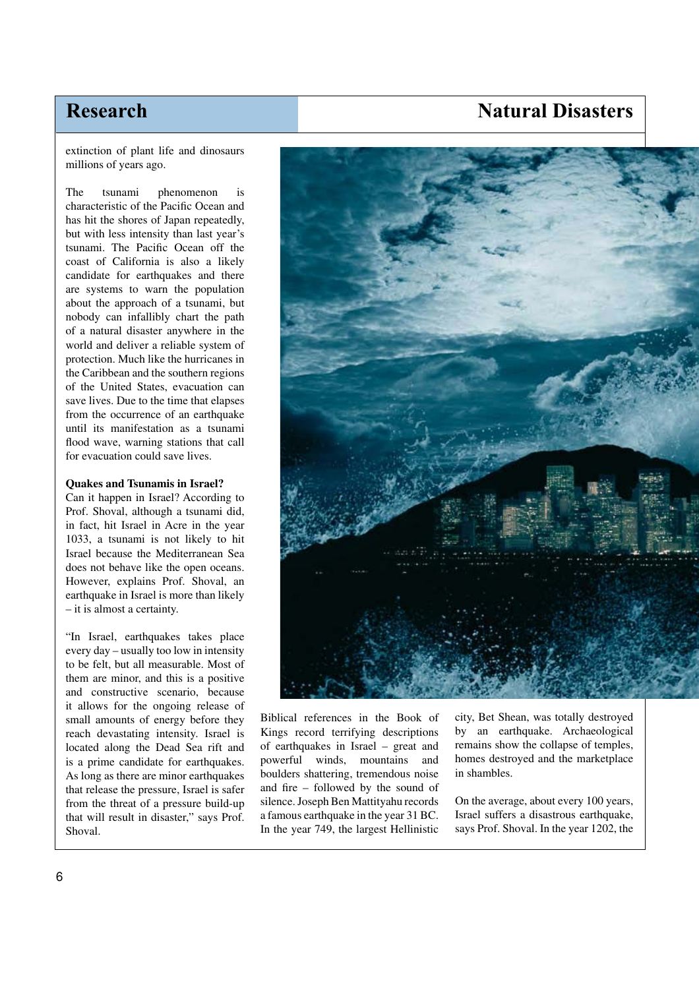## **Natural Disasters**

extinction of plant life and dinosaurs millions of years ago.

The tsunami phenomenon is characteristic of the Pacific Ocean and has hit the shores of Japan repeatedly, but with less intensity than last year's tsunami. The Pacific Ocean off the coast of California is also a likely candidate for earthquakes and there are systems to warn the population about the approach of a tsunami, but nobody can infallibly chart the path of a natural disaster anywhere in the world and deliver a reliable system of protection. Much like the hurricanes in the Caribbean and the southern regions of the United States, evacuation can save lives. Due to the time that elapses from the occurrence of an earthquake until its manifestation as a tsunami flood wave, warning stations that call for evacuation could save lives.

#### **Quakes and Tsunamis in Israel?**

Can it happen in Israel? According to Prof. Shoval, although a tsunami did, in fact, hit Israel in Acre in the year 1033, a tsunami is not likely to hit Israel because the Mediterranean Sea does not behave like the open oceans. However, explains Prof. Shoval, an earthquake in Israel is more than likely – it is almost a certainty.

"In Israel, earthquakes takes place every day – usually too low in intensity to be felt, but all measurable. Most of them are minor, and this is a positive and constructive scenario, because it allows for the ongoing release of small amounts of energy before they reach devastating intensity. Israel is located along the Dead Sea rift and is a prime candidate for earthquakes. As long as there are minor earthquakes that release the pressure, Israel is safer from the threat of a pressure build-up that will result in disaster," says Prof. Shoval.



Biblical references in the Book of Kings record terrifying descriptions of earthquakes in Israel – great and powerful winds, mountains and boulders shattering, tremendous noise and fire – followed by the sound of silence. Joseph Ben Mattityahu records a famous earthquake in the year 31 BC. In the year 749, the largest Hellinistic city, Bet Shean, was totally destroyed by an earthquake. Archaeological remains show the collapse of temples, homes destroyed and the marketplace in shambles.

On the average, about every 100 years, Israel suffers a disastrous earthquake, says Prof. Shoval. In the year 1202, the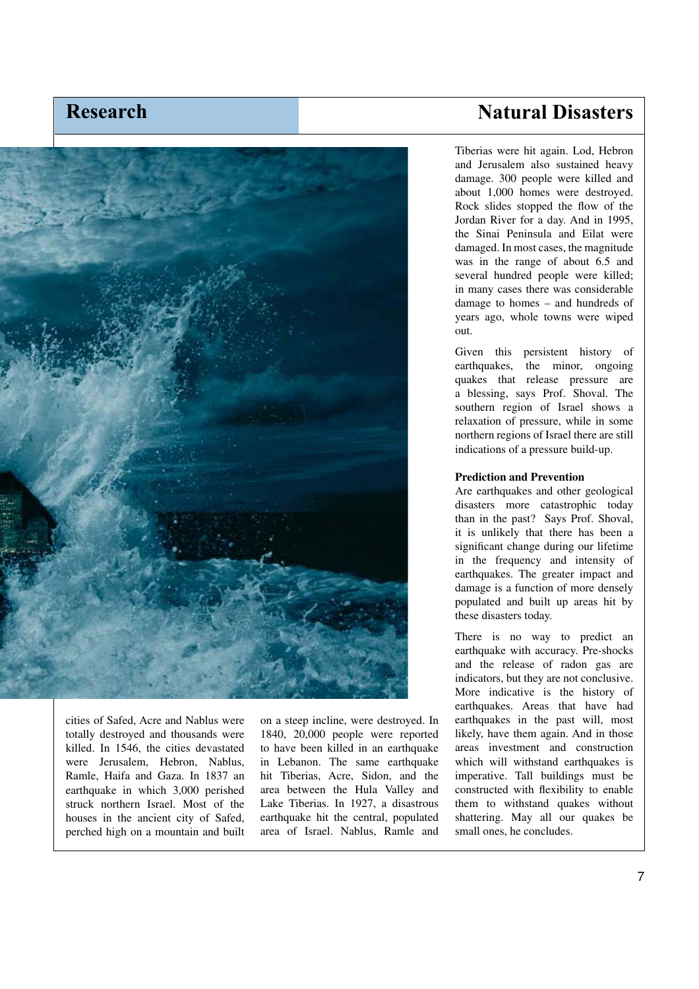

cities of Safed, Acre and Nablus were totally destroyed and thousands were killed. In 1546, the cities devastated were Jerusalem, Hebron, Nablus, Ramle, Haifa and Gaza. In 1837 an earthquake in which 3,000 perished struck northern Israel. Most of the houses in the ancient city of Safed, perched high on a mountain and built

on a steep incline, were destroyed. In 1840, 20,000 people were reported to have been killed in an earthquake in Lebanon. The same earthquake hit Tiberias, Acre, Sidon, and the area between the Hula Valley and Lake Tiberias. In 1927, a disastrous earthquake hit the central, populated area of Israel. Nablus, Ramle and

## **Natural Disasters**

Tiberias were hit again. Lod, Hebron and Jerusalem also sustained heavy damage. 300 people were killed and about 1,000 homes were destroyed. Rock slides stopped the flow of the Jordan River for a day. And in 1995, the Sinai Peninsula and Eilat were damaged. In most cases, the magnitude was in the range of about 6.5 and several hundred people were killed; in many cases there was considerable damage to homes – and hundreds of years ago, whole towns were wiped out.

Given this persistent history of earthquakes, the minor, ongoing quakes that release pressure are a blessing, says Prof. Shoval. The southern region of Israel shows a relaxation of pressure, while in some northern regions of Israel there are still indications of a pressure build-up.

#### **Prediction and Prevention**

Are earthquakes and other geological disasters more catastrophic today than in the past? Says Prof. Shoval, it is unlikely that there has been a significant change during our lifetime in the frequency and intensity of earthquakes. The greater impact and damage is a function of more densely populated and built up areas hit by these disasters today.

There is no way to predict an earthquake with accuracy. Pre-shocks and the release of radon gas are indicators, but they are not conclusive. More indicative is the history of earthquakes. Areas that have had earthquakes in the past will, most likely, have them again. And in those areas investment and construction which will withstand earthquakes is imperative. Tall buildings must be constructed with flexibility to enable them to withstand quakes without shattering. May all our quakes be small ones, he concludes.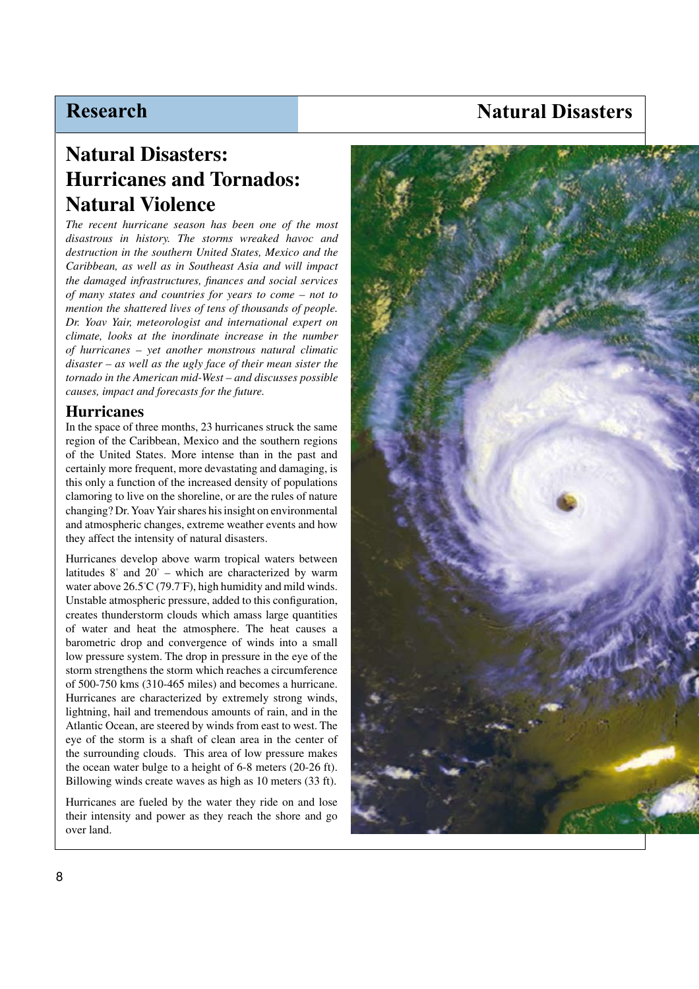## **Natural Disasters**

# **Natural Disasters: Hurricanes and Tornados: Natural Violence**

*The recent hurricane season has been one of the most disastrous in history. The storms wreaked havoc and destruction in the southern United States, Mexico and the Caribbean, as well as in Southeast Asia and will impact the damaged infrastructures, finances and social services of many states and countries for years to come – not to mention the shattered lives of tens of thousands of people. Dr. Yoav Yair, meteorologist and international expert on climate, looks at the inordinate increase in the number of hurricanes – yet another monstrous natural climatic disaster – as well as the ugly face of their mean sister the tornado in the American mid-West – and discusses possible causes, impact and forecasts for the future.*

#### **Hurricanes**

In the space of three months, 23 hurricanes struck the same region of the Caribbean, Mexico and the southern regions of the United States. More intense than in the past and certainly more frequent, more devastating and damaging, is this only a function of the increased density of populations clamoring to live on the shoreline, or are the rules of nature changing? Dr. Yoav Yair shares his insight on environmental and atmospheric changes, extreme weather events and how they affect the intensity of natural disasters.

Hurricanes develop above warm tropical waters between latitudes 8° and 20° – which are characterized by warm water above 26.5° C (79.7° F), high humidity and mild winds. Unstable atmospheric pressure, added to this configuration, creates thunderstorm clouds which amass large quantities of water and heat the atmosphere. The heat causes a barometric drop and convergence of winds into a small low pressure system. The drop in pressure in the eye of the storm strengthens the storm which reaches a circumference of 500-750 kms (310-465 miles) and becomes a hurricane. Hurricanes are characterized by extremely strong winds, lightning, hail and tremendous amounts of rain, and in the Atlantic Ocean, are steered by winds from east to west. The eye of the storm is a shaft of clean area in the center of the surrounding clouds. This area of low pressure makes the ocean water bulge to a height of 6-8 meters (20-26 ft). Billowing winds create waves as high as 10 meters (33 ft).

Hurricanes are fueled by the water they ride on and lose their intensity and power as they reach the shore and go over land.

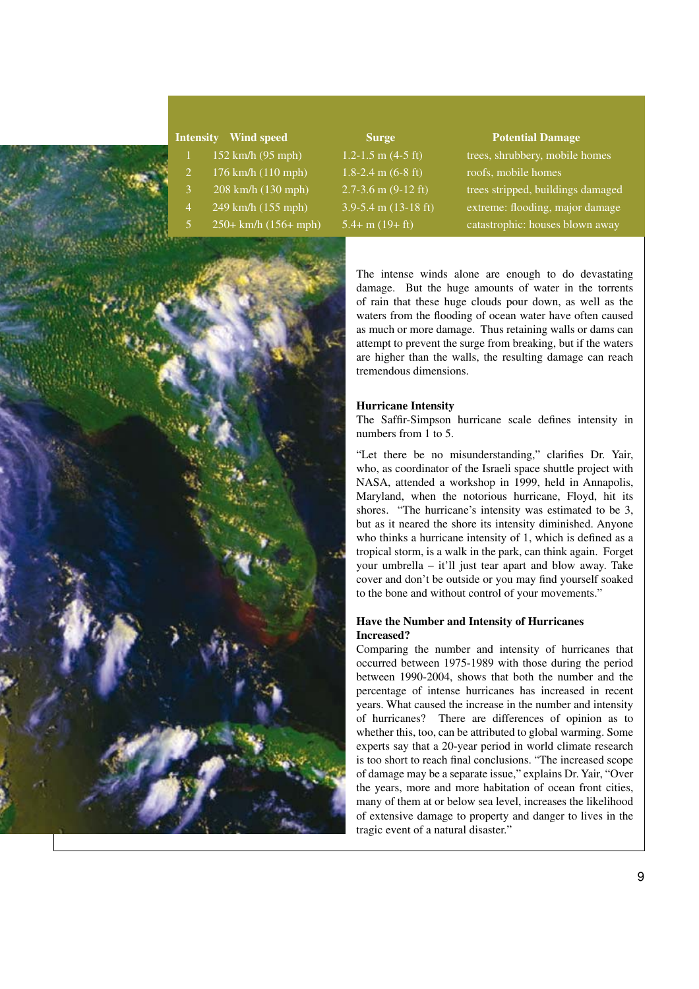

- 
- 
- 
- 
- 



 $152 \text{ km/h}$  (95 mph)  $1.2-1.5 \text{ m}$  (4-5 ft) trees, shrubbery, mobile homes  $3$  208 km/h (130 mph) 2.7-3.6 m (9-12 ft) trees stripped, buildings damaged 4 249 km/h (155 mph) 3.9-5.4 m (13-18 ft) extreme: flooding, major damage  $250 + km/h (156 + mph)$  5.4+ m (19+ ft) catastrophic: houses blown away

> The intense winds alone are enough to do devastating damage. But the huge amounts of water in the torrents of rain that these huge clouds pour down, as well as the waters from the flooding of ocean water have often caused as much or more damage. Thus retaining walls or dams can attempt to prevent the surge from breaking, but if the waters are higher than the walls, the resulting damage can reach tremendous dimensions.

#### **Hurricane Intensity**

The Saffir-Simpson hurricane scale defines intensity in numbers from 1 to 5.

"Let there be no misunderstanding," clarifies Dr. Yair, who, as coordinator of the Israeli space shuttle project with NASA, attended a workshop in 1999, held in Annapolis, Maryland, when the notorious hurricane, Floyd, hit its shores. "The hurricane's intensity was estimated to be 3, but as it neared the shore its intensity diminished. Anyone who thinks a hurricane intensity of 1, which is defined as a tropical storm, is a walk in the park, can think again. Forget your umbrella – it'll just tear apart and blow away. Take cover and don't be outside or you may find yourself soaked to the bone and without control of your movements."

#### **Have the Number and Intensity of Hurricanes Increased?**

Comparing the number and intensity of hurricanes that occurred between 1975-1989 with those during the period between 1990-2004, shows that both the number and the percentage of intense hurricanes has increased in recent years. What caused the increase in the number and intensity of hurricanes? There are differences of opinion as to whether this, too, can be attributed to global warming. Some experts say that a 20-year period in world climate research is too short to reach final conclusions. "The increased scope of damage may be a separate issue," explains Dr. Yair, "Over the years, more and more habitation of ocean front cities, many of them at or below sea level, increases the likelihood of extensive damage to property and danger to lives in the tragic event of a natural disaster."